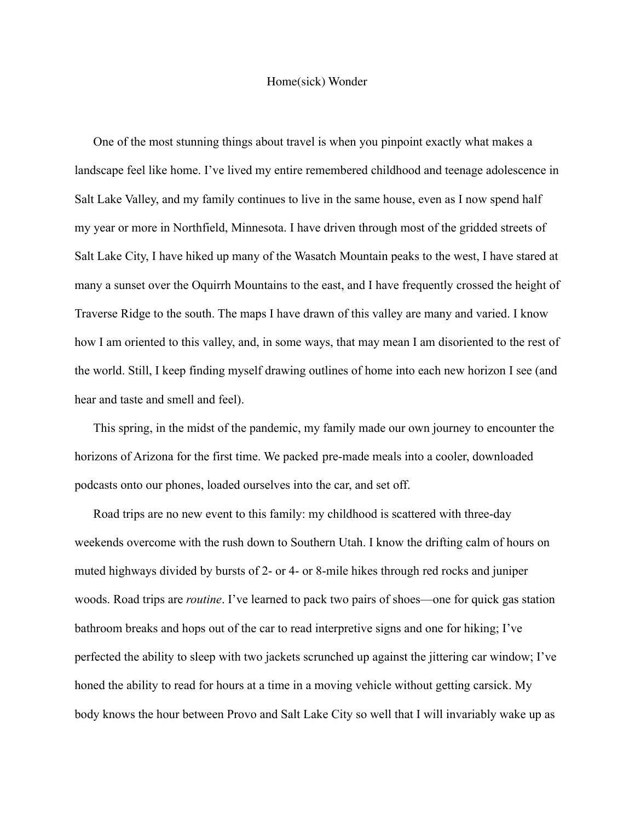## Home(sick) Wonder

One of the most stunning things about travel is when you pinpoint exactly what makes a landscape feel like home. I've lived my entire remembered childhood and teenage adolescence in Salt Lake Valley, and my family continues to live in the same house, even as I now spend half my year or more in Northfield, Minnesota. I have driven through most of the gridded streets of Salt Lake City, I have hiked up many of the Wasatch Mountain peaks to the west, I have stared at many a sunset over the Oquirrh Mountains to the east, and I have frequently crossed the height of Traverse Ridge to the south. The maps I have drawn of this valley are many and varied. I know how I am oriented to this valley, and, in some ways, that may mean I am disoriented to the rest of the world. Still, I keep finding myself drawing outlines of home into each new horizon I see (and hear and taste and smell and feel).

This spring, in the midst of the pandemic, my family made our own journey to encounter the horizons of Arizona for the first time. We packed pre-made meals into a cooler, downloaded podcasts onto our phones, loaded ourselves into the car, and set off.

Road trips are no new event to this family: my childhood is scattered with three-day weekends overcome with the rush down to Southern Utah. I know the drifting calm of hours on muted highways divided by bursts of 2- or 4- or 8-mile hikes through red rocks and juniper woods. Road trips are *routine*. I've learned to pack two pairs of shoes—one for quick gas station bathroom breaks and hops out of the car to read interpretive signs and one for hiking; I've perfected the ability to sleep with two jackets scrunched up against the jittering car window; I've honed the ability to read for hours at a time in a moving vehicle without getting carsick. My body knows the hour between Provo and Salt Lake City so well that I will invariably wake up as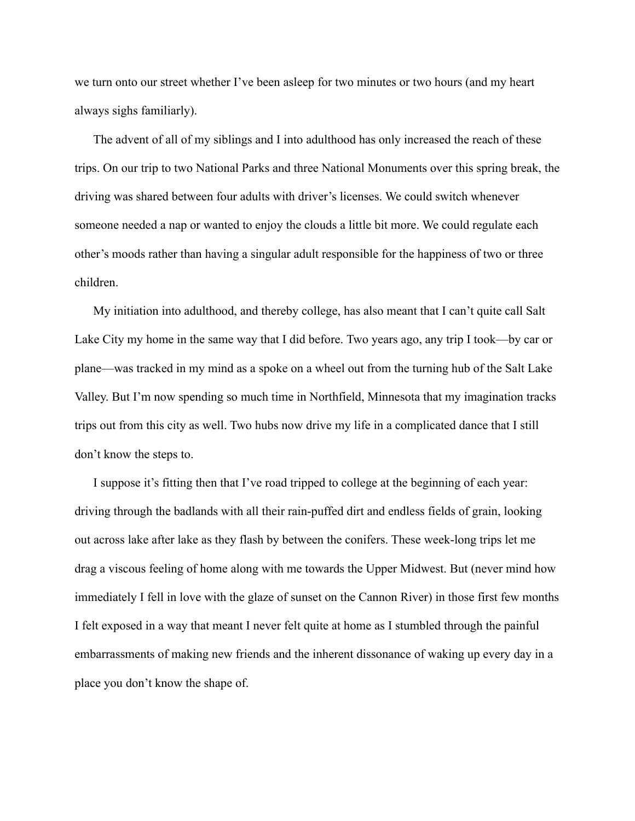we turn onto our street whether I've been asleep for two minutes or two hours (and my heart always sighs familiarly).

The advent of all of my siblings and I into adulthood has only increased the reach of these trips. On our trip to two National Parks and three National Monuments over this spring break, the driving was shared between four adults with driver's licenses. We could switch whenever someone needed a nap or wanted to enjoy the clouds a little bit more. We could regulate each other's moods rather than having a singular adult responsible for the happiness of two or three children.

My initiation into adulthood, and thereby college, has also meant that I can't quite call Salt Lake City my home in the same way that I did before. Two years ago, any trip I took—by car or plane—was tracked in my mind as a spoke on a wheel out from the turning hub of the Salt Lake Valley. But I'm now spending so much time in Northfield, Minnesota that my imagination tracks trips out from this city as well. Two hubs now drive my life in a complicated dance that I still don't know the steps to.

I suppose it's fitting then that I've road tripped to college at the beginning of each year: driving through the badlands with all their rain-puffed dirt and endless fields of grain, looking out across lake after lake as they flash by between the conifers. These week-long trips let me drag a viscous feeling of home along with me towards the Upper Midwest. But (never mind how immediately I fell in love with the glaze of sunset on the Cannon River) in those first few months I felt exposed in a way that meant I never felt quite at home as I stumbled through the painful embarrassments of making new friends and the inherent dissonance of waking up every day in a place you don't know the shape of.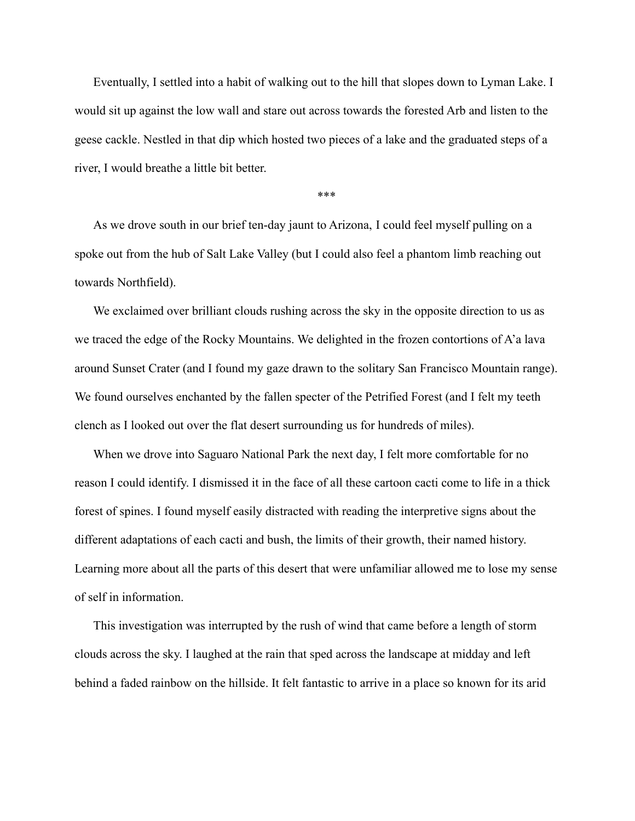Eventually, I settled into a habit of walking out to the hill that slopes down to Lyman Lake. I would sit up against the low wall and stare out across towards the forested Arb and listen to the geese cackle. Nestled in that dip which hosted two pieces of a lake and the graduated steps of a river, I would breathe a little bit better.

\*\*\*

As we drove south in our brief ten-day jaunt to Arizona, I could feel myself pulling on a spoke out from the hub of Salt Lake Valley (but I could also feel a phantom limb reaching out towards Northfield).

We exclaimed over brilliant clouds rushing across the sky in the opposite direction to us as we traced the edge of the Rocky Mountains. We delighted in the frozen contortions of A'a lava around Sunset Crater (and I found my gaze drawn to the solitary San Francisco Mountain range). We found ourselves enchanted by the fallen specter of the Petrified Forest (and I felt my teeth clench as I looked out over the flat desert surrounding us for hundreds of miles).

When we drove into Saguaro National Park the next day, I felt more comfortable for no reason I could identify. I dismissed it in the face of all these cartoon cacti come to life in a thick forest of spines. I found myself easily distracted with reading the interpretive signs about the different adaptations of each cacti and bush, the limits of their growth, their named history. Learning more about all the parts of this desert that were unfamiliar allowed me to lose my sense of self in information.

This investigation was interrupted by the rush of wind that came before a length of storm clouds across the sky. I laughed at the rain that sped across the landscape at midday and left behind a faded rainbow on the hillside. It felt fantastic to arrive in a place so known for its arid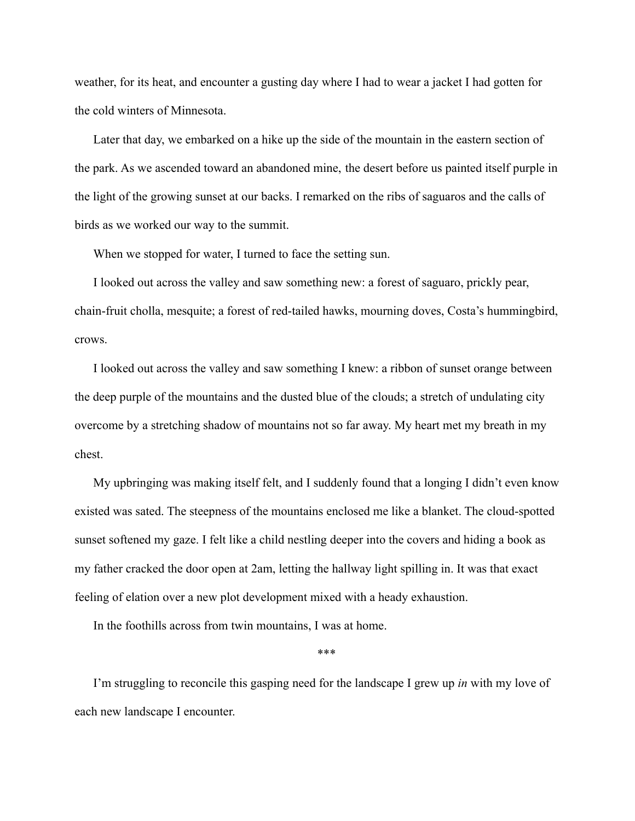weather, for its heat, and encounter a gusting day where I had to wear a jacket I had gotten for the cold winters of Minnesota.

Later that day, we embarked on a hike up the side of the mountain in the eastern section of the park. As we ascended toward an abandoned mine, the desert before us painted itself purple in the light of the growing sunset at our backs. I remarked on the ribs of saguaros and the calls of birds as we worked our way to the summit.

When we stopped for water, I turned to face the setting sun.

I looked out across the valley and saw something new: a forest of saguaro, prickly pear, chain-fruit cholla, mesquite; a forest of red-tailed hawks, mourning doves, Costa's hummingbird, crows.

I looked out across the valley and saw something I knew: a ribbon of sunset orange between the deep purple of the mountains and the dusted blue of the clouds; a stretch of undulating city overcome by a stretching shadow of mountains not so far away. My heart met my breath in my chest.

My upbringing was making itself felt, and I suddenly found that a longing I didn't even know existed was sated. The steepness of the mountains enclosed me like a blanket. The cloud-spotted sunset softened my gaze. I felt like a child nestling deeper into the covers and hiding a book as my father cracked the door open at 2am, letting the hallway light spilling in. It was that exact feeling of elation over a new plot development mixed with a heady exhaustion.

In the foothills across from twin mountains, I was at home.

\*\*\*

I'm struggling to reconcile this gasping need for the landscape I grew up *in* with my love of each new landscape I encounter.